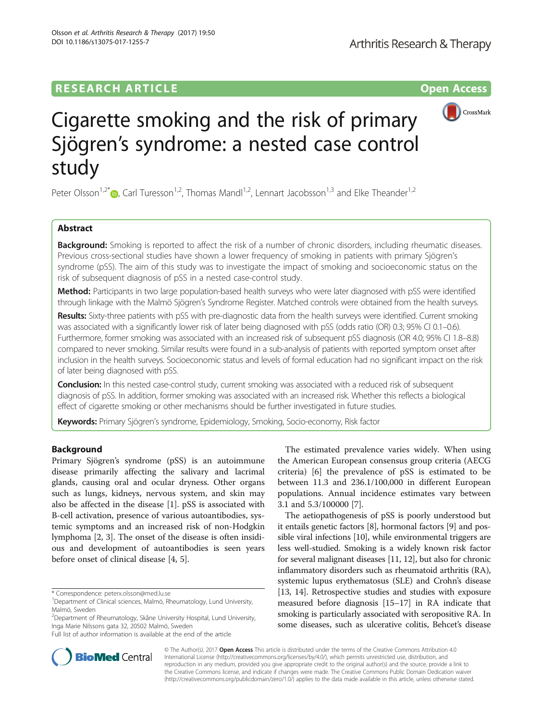DOI 10.1186/s13075-017-1255-7

Olsson et al. Arthritis Research & Therapy (2017) 19:50



# Cigarette smoking and the risk of primary Sjögren's syndrome: a nested case control study

Peter Olsson<sup>1[,](http://orcid.org/0000-0001-7318-833X)2\*</sup>  $\bullet$ , Carl Turesson<sup>1,2</sup>, Thomas Mandl<sup>1,2</sup>, Lennart Jacobsson<sup>1,3</sup> and Elke Theander<sup>1,2</sup>

# Abstract

Background: Smoking is reported to affect the risk of a number of chronic disorders, including rheumatic diseases. Previous cross-sectional studies have shown a lower frequency of smoking in patients with primary Sjögren's syndrome (pSS). The aim of this study was to investigate the impact of smoking and socioeconomic status on the risk of subsequent diagnosis of pSS in a nested case-control study.

Method: Participants in two large population-based health surveys who were later diagnosed with pSS were identified through linkage with the Malmö Sjögren's Syndrome Register. Matched controls were obtained from the health surveys.

Results: Sixty-three patients with pSS with pre-diagnostic data from the health surveys were identified. Current smoking was associated with a significantly lower risk of later being diagnosed with pSS (odds ratio (OR) 0.3; 95% CI 0.1–0.6). Furthermore, former smoking was associated with an increased risk of subsequent pSS diagnosis (OR 4.0; 95% CI 1.8–8.8) compared to never smoking. Similar results were found in a sub-analysis of patients with reported symptom onset after inclusion in the health surveys. Socioeconomic status and levels of formal education had no significant impact on the risk of later being diagnosed with pSS.

**Conclusion:** In this nested case-control study, current smoking was associated with a reduced risk of subsequent diagnosis of pSS. In addition, former smoking was associated with an increased risk. Whether this reflects a biological effect of cigarette smoking or other mechanisms should be further investigated in future studies.

Keywords: Primary Sjögren's syndrome, Epidemiology, Smoking, Socio-economy, Risk factor

# Background

Primary Sjögren's syndrome (pSS) is an autoimmune disease primarily affecting the salivary and lacrimal glands, causing oral and ocular dryness. Other organs such as lungs, kidneys, nervous system, and skin may also be affected in the disease [\[1](#page-6-0)]. pSS is associated with B-cell activation, presence of various autoantibodies, systemic symptoms and an increased risk of non-Hodgkin lymphoma [\[2](#page-6-0), [3](#page-6-0)]. The onset of the disease is often insidious and development of autoantibodies is seen years before onset of clinical disease [\[4](#page-6-0), [5](#page-6-0)].

<sup>2</sup>Department of Rheumatology, Skåne University Hospital, Lund University, Inga Marie Nilssons gata 32, 20502 Malmö, Sweden



The aetiopathogenesis of pSS is poorly understood but it entails genetic factors [\[8](#page-6-0)], hormonal factors [[9\]](#page-6-0) and possible viral infections [[10](#page-6-0)], while environmental triggers are less well-studied. Smoking is a widely known risk factor for several malignant diseases [\[11](#page-6-0), [12](#page-6-0)], but also for chronic inflammatory disorders such as rheumatoid arthritis (RA), systemic lupus erythematosus (SLE) and Crohn's disease [[13](#page-6-0), [14](#page-6-0)]. Retrospective studies and studies with exposure measured before diagnosis [[15](#page-6-0)–[17\]](#page-6-0) in RA indicate that smoking is particularly associated with seropositive RA. In some diseases, such as ulcerative colitis, Behcet's disease



© The Author(s). 2017 **Open Access** This article is distributed under the terms of the Creative Commons Attribution 4.0 International License [\(http://creativecommons.org/licenses/by/4.0/](http://creativecommons.org/licenses/by/4.0/)), which permits unrestricted use, distribution, and reproduction in any medium, provided you give appropriate credit to the original author(s) and the source, provide a link to the Creative Commons license, and indicate if changes were made. The Creative Commons Public Domain Dedication waiver [\(http://creativecommons.org/publicdomain/zero/1.0/](http://creativecommons.org/publicdomain/zero/1.0/)) applies to the data made available in this article, unless otherwise stated.

<sup>\*</sup> Correspondence: [peterx.olsson@med.lu.se](mailto:peterx.olsson@med.lu.se) <sup>1</sup>

<sup>&</sup>lt;sup>1</sup>Department of Clinical sciences, Malmö, Rheumatology, Lund University, Malmö, Sweden

Full list of author information is available at the end of the article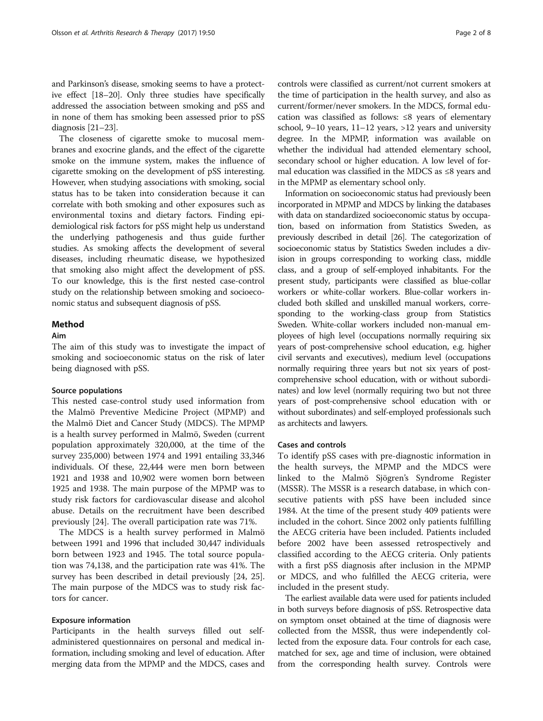and Parkinson's disease, smoking seems to have a protective effect [[18](#page-6-0)–[20\]](#page-6-0). Only three studies have specifically addressed the association between smoking and pSS and in none of them has smoking been assessed prior to pSS diagnosis [\[21](#page-6-0)–[23](#page-6-0)].

The closeness of cigarette smoke to mucosal membranes and exocrine glands, and the effect of the cigarette smoke on the immune system, makes the influence of cigarette smoking on the development of pSS interesting. However, when studying associations with smoking, social status has to be taken into consideration because it can correlate with both smoking and other exposures such as environmental toxins and dietary factors. Finding epidemiological risk factors for pSS might help us understand the underlying pathogenesis and thus guide further studies. As smoking affects the development of several diseases, including rheumatic disease, we hypothesized that smoking also might affect the development of pSS. To our knowledge, this is the first nested case-control study on the relationship between smoking and socioeconomic status and subsequent diagnosis of pSS.

# Method

#### Aim

The aim of this study was to investigate the impact of smoking and socioeconomic status on the risk of later being diagnosed with pSS.

# Source populations

This nested case-control study used information from the Malmö Preventive Medicine Project (MPMP) and the Malmö Diet and Cancer Study (MDCS). The MPMP is a health survey performed in Malmö, Sweden (current population approximately 320,000, at the time of the survey 235,000) between 1974 and 1991 entailing 33,346 individuals. Of these, 22,444 were men born between 1921 and 1938 and 10,902 were women born between 1925 and 1938. The main purpose of the MPMP was to study risk factors for cardiovascular disease and alcohol abuse. Details on the recruitment have been described previously [\[24](#page-6-0)]. The overall participation rate was 71%.

The MDCS is a health survey performed in Malmö between 1991 and 1996 that included 30,447 individuals born between 1923 and 1945. The total source population was 74,138, and the participation rate was 41%. The survey has been described in detail previously [\[24](#page-6-0), [25](#page-6-0)]. The main purpose of the MDCS was to study risk factors for cancer.

# Exposure information

Participants in the health surveys filled out selfadministered questionnaires on personal and medical information, including smoking and level of education. After merging data from the MPMP and the MDCS, cases and

controls were classified as current/not current smokers at the time of participation in the health survey, and also as current/former/never smokers. In the MDCS, formal education was classified as follows: ≤8 years of elementary school, 9–10 years, 11–12 years, >12 years and university degree. In the MPMP, information was available on whether the individual had attended elementary school, secondary school or higher education. A low level of formal education was classified in the MDCS as ≤8 years and in the MPMP as elementary school only.

Information on socioeconomic status had previously been incorporated in MPMP and MDCS by linking the databases with data on standardized socioeconomic status by occupation, based on information from Statistics Sweden, as previously described in detail [[26](#page-6-0)]. The categorization of socioeconomic status by Statistics Sweden includes a division in groups corresponding to working class, middle class, and a group of self-employed inhabitants. For the present study, participants were classified as blue-collar workers or white-collar workers. Blue-collar workers included both skilled and unskilled manual workers, corresponding to the working-class group from Statistics Sweden. White-collar workers included non-manual employees of high level (occupations normally requiring six years of post-comprehensive school education, e.g. higher civil servants and executives), medium level (occupations normally requiring three years but not six years of postcomprehensive school education, with or without subordinates) and low level (normally requiring two but not three years of post-comprehensive school education with or without subordinates) and self-employed professionals such as architects and lawyers.

# Cases and controls

To identify pSS cases with pre-diagnostic information in the health surveys, the MPMP and the MDCS were linked to the Malmö Sjögren's Syndrome Register (MSSR). The MSSR is a research database, in which consecutive patients with pSS have been included since 1984. At the time of the present study 409 patients were included in the cohort. Since 2002 only patients fulfilling the AECG criteria have been included. Patients included before 2002 have been assessed retrospectively and classified according to the AECG criteria. Only patients with a first pSS diagnosis after inclusion in the MPMP or MDCS, and who fulfilled the AECG criteria, were included in the present study.

The earliest available data were used for patients included in both surveys before diagnosis of pSS. Retrospective data on symptom onset obtained at the time of diagnosis were collected from the MSSR, thus were independently collected from the exposure data. Four controls for each case, matched for sex, age and time of inclusion, were obtained from the corresponding health survey. Controls were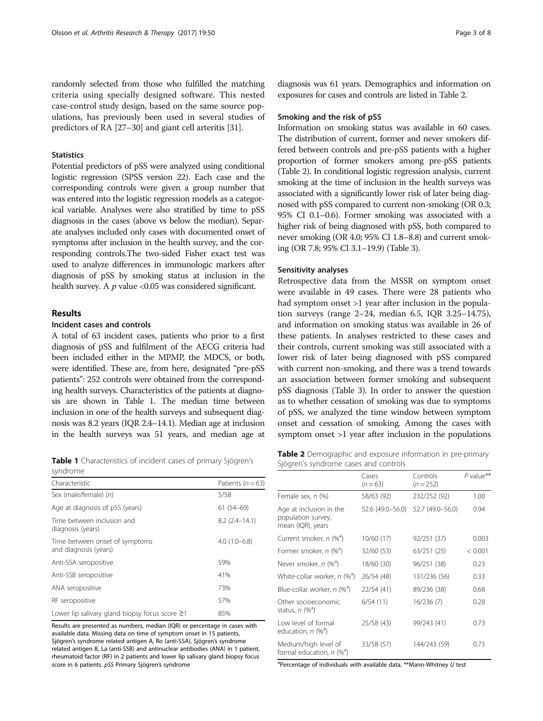randomly selected from those who fulfilled the matching criteria using specially designed software. This nested case-control study design, based on the same source populations, has previously been used in several studies of predictors of RA [\[27](#page-6-0)–[30](#page-6-0)] and giant cell arteritis [\[31\]](#page-6-0).

# **Statistics**

Potential predictors of pSS were analyzed using conditional logistic regression (SPSS version 22). Each case and the corresponding controls were given a group number that was entered into the logistic regression models as a categorical variable. Analyses were also stratified by time to pSS diagnosis in the cases (above vs below the median). Separate analyses included only cases with documented onset of symptoms after inclusion in the health survey, and the corresponding controls.The two-sided Fisher exact test was used to analyze differences in immunologic markers after diagnosis of pSS by smoking status at inclusion in the health survey. A  $p$  value <0.05 was considered significant.

# Results

# Incident cases and controls

A total of 63 incident cases, patients who prior to a first diagnosis of pSS and fulfilment of the AECG criteria had been included either in the MPMP, the MDCS, or both, were identified. These are, from here, designated "pre-pSS patients": 252 controls were obtained from the corresponding health surveys. Characteristics of the patients at diagnosis are shown in Table 1. The median time between inclusion in one of the health surveys and subsequent diagnosis was 8.2 years (IQR 2.4–14.1). Median age at inclusion in the health surveys was 51 years, and median age at

|          | Table 1 Characteristics of incident cases of primary Sjögren's |  |  |
|----------|----------------------------------------------------------------|--|--|
| syndrome |                                                                |  |  |

| Characteristic                                          | Patients $(n = 63)$ |
|---------------------------------------------------------|---------------------|
| Sex (male/female) (n)                                   | 5/58                |
| Age at diagnosis of pSS (years)                         | $61(54-69)$         |
| Time between inclusion and<br>diagnosis (years)         | $8.2(2.4 - 14.1)$   |
| Time between onset of symptoms<br>and diagnosis (years) | $4.0(1.0-6.8)$      |
| Anti-SSA seropositive                                   | 59%                 |
| Anti-SSB seropositive                                   | 41%                 |
| ANA seropositive                                        | 73%                 |
| RF seropositive                                         | 57%                 |
| Lower lip salivary gland biopsy focus score $\geq$ 1    | 85%                 |

Results are presented as numbers, median (IQR) or percentage in cases with available data. Missing data on time of symptom onset in 15 patients, Sjögren's syndrome related antigen A, Ro (anti-SSA), Sjögren's syndrome related antigen B, La (anti-SSB) and antinuclear antibodies (ANA) in 1 patient, rheumatoid factor (RF) in 2 patients and lower lip salivary gland biopsy focus score in 6 patients. pSS Primary Sjögren's syndrome

diagnosis was 61 years. Demographics and information on exposures for cases and controls are listed in Table 2.

# Smoking and the risk of pSS

Information on smoking status was available in 60 cases. The distribution of current, former and never smokers differed between controls and pre-pSS patients with a higher proportion of former smokers among pre-pSS patients (Table 2). In conditional logistic regression analysis, current smoking at the time of inclusion in the health surveys was associated with a significantly lower risk of later being diagnosed with pSS compared to current non-smoking (OR 0.3; 95% CI 0.1–0.6). Former smoking was associated with a higher risk of being diagnosed with pSS, both compared to never smoking (OR 4.0; 95% CI 1.8–8.8) and current smoking (OR 7.8; 95% CI 3.1–19.9) (Table [3\)](#page-3-0).

# Sensitivity analyses

Retrospective data from the MSSR on symptom onset were available in 49 cases. There were 28 patients who had symptom onset >1 year after inclusion in the population surveys (range 2–24, median 6.5, IQR 3.25–14.75), and information on smoking status was available in 26 of these patients. In analyses restricted to these cases and their controls, current smoking was still associated with a lower risk of later being diagnosed with pSS compared with current non-smoking, and there was a trend towards an association between former smoking and subsequent pSS diagnosis (Table [3](#page-3-0)). In order to answer the question as to whether cessation of smoking was due to symptoms of pSS, we analyzed the time window between symptom onset and cessation of smoking. Among the cases with symptom onset >1 year after inclusion in the populations

| Table 2 Demographic and exposure information in pre-primary |  |
|-------------------------------------------------------------|--|
| Sjögren's syndrome cases and controls                       |  |

|                                                                    | Cases<br>$(n = 63)$ | Controls<br>$(n = 252)$ | $P$ value** |
|--------------------------------------------------------------------|---------------------|-------------------------|-------------|
| Female sex, n (%)                                                  | 58/63 (92)          | 232/252 (92)            | 1.00        |
| Age at inclusion in the<br>population survey,<br>mean (IQR), years | 52.6 (49.0-56.0)    | 52.7 (49.0-56.0)        | 0.94        |
| Current smoker, n (% <sup>a</sup> )                                | 10/60 (17)          | 92/251 (37)             | 0.003       |
| Former smoker, n (% <sup>a</sup> )                                 | 32/60 (53)          | 63/251 (25)             | < 0.001     |
| Never smoker, n (% <sup>a</sup> )                                  | 18/60 (30)          | 96/251 (38)             | 0.23        |
| White-collar worker, n (% <sup>d</sup> )                           | 26/54 (48)          | 131/236 (56)            | 0.33        |
| Blue-collar worker, n (% <sup>a</sup> )                            | 22/54 (41)          | 89/236 (38)             | 0.68        |
| Other socioeconomic<br>status, $n$ (% <sup>d</sup> )               | 6/54(11)            | 16/236 (7)              | 0.28        |
| Low level of formal<br>education, n (% <sup>d</sup> )              | 25/58 (43)          | 99/243 (41)             | 0.73        |
| Medium/high level of<br>formal education, $n$ (% <sup>a</sup> )    | 33/58 (57)          | 144/243 (59)            | 0.73        |

<sup>a</sup>Percentage of individuals with available data.  $**$ Mann-Whitney U test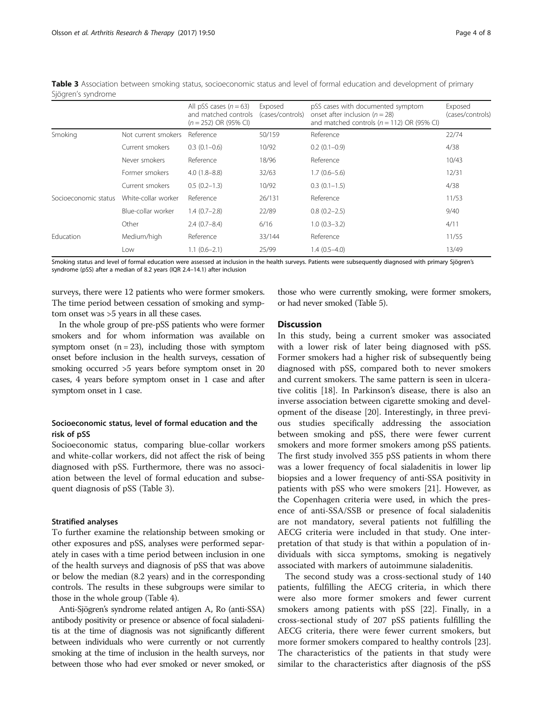<span id="page-3-0"></span>

|                               | pSS cases with documented symptom | Exposed                                                                                                                                                                                                                                                                                                                                                                                                                                                                                                                                                                |
|-------------------------------|-----------------------------------|------------------------------------------------------------------------------------------------------------------------------------------------------------------------------------------------------------------------------------------------------------------------------------------------------------------------------------------------------------------------------------------------------------------------------------------------------------------------------------------------------------------------------------------------------------------------|
|                               |                                   | (cases/controls                                                                                                                                                                                                                                                                                                                                                                                                                                                                                                                                                        |
| $(0.252)$ $(0.501)$ $(0.501)$ | All pSS cases $(n = 63)$ Exposed  | and matched controls (cases/controls) onset after inclusion ( $n = 28$ )<br>$\blacksquare$ $\blacksquare$ $\blacksquare$ $\blacksquare$ $\blacksquare$ $\blacksquare$ $\blacksquare$ $\blacksquare$ $\blacksquare$ $\blacksquare$ $\blacksquare$ $\blacksquare$ $\blacksquare$ $\blacksquare$ $\blacksquare$ $\blacksquare$ $\blacksquare$ $\blacksquare$ $\blacksquare$ $\blacksquare$ $\blacksquare$ $\blacksquare$ $\blacksquare$ $\blacksquare$ $\blacksquare$ $\blacksquare$ $\blacksquare$ $\blacksquare$ $\blacksquare$ $\blacksquare$ $\blacksquare$ $\blacks$ |

|                      |                     | and matched controls (cases/controls)<br>$(n = 252)$ OR (95% CI) |        | onset after inclusion ( $n = 28$ )<br>and matched controls ( $n = 112$ ) OR (95% CI) | (cases/controls) |
|----------------------|---------------------|------------------------------------------------------------------|--------|--------------------------------------------------------------------------------------|------------------|
| Smoking              | Not current smokers | Reference                                                        | 50/159 | Reference                                                                            | 22/74            |
|                      | Current smokers     | $0.3(0.1-0.6)$                                                   | 10/92  | $0.2(0.1-0.9)$                                                                       | 4/38             |
|                      | Never smokers       | Reference                                                        | 18/96  | Reference                                                                            | 10/43            |
|                      | Former smokers      | $4.0(1.8-8.8)$                                                   | 32/63  | $1.7(0.6 - 5.6)$                                                                     | 12/31            |
|                      | Current smokers     | $0.5(0.2-1.3)$                                                   | 10/92  | $0.3(0.1-1.5)$                                                                       | 4/38             |
| Socioeconomic status | White-collar worker | Reference                                                        | 26/131 | Reference                                                                            | 11/53            |
|                      | Blue-collar worker  | $1.4(0.7-2.8)$                                                   | 22/89  | $0.8(0.2 - 2.5)$                                                                     | 9/40             |
|                      | Other               | $2.4(0.7-8.4)$                                                   | 6/16   | $1.0(0.3-3.2)$                                                                       | 4/11             |
| Education            | Medium/high         | Reference                                                        | 33/144 | Reference                                                                            | 11/55            |
|                      | Low                 | $1.1(0.6-2.1)$                                                   | 25/99  | $1.4(0.5-4.0)$                                                                       | 13/49            |

Smoking status and level of formal education were assessed at inclusion in the health surveys. Patients were subsequently diagnosed with primary Sjögren's syndrome (pSS) after a median of 8.2 years (IQR 2.4–14.1) after inclusion

surveys, there were 12 patients who were former smokers. The time period between cessation of smoking and symptom onset was >5 years in all these cases.

In the whole group of pre-pSS patients who were former smokers and for whom information was available on symptom onset  $(n = 23)$ , including those with symptom onset before inclusion in the health surveys, cessation of smoking occurred >5 years before symptom onset in 20 cases, 4 years before symptom onset in 1 case and after symptom onset in 1 case.

# Socioeconomic status, level of formal education and the risk of pSS

Socioeconomic status, comparing blue-collar workers and white-collar workers, did not affect the risk of being diagnosed with pSS. Furthermore, there was no association between the level of formal education and subsequent diagnosis of pSS (Table 3).

# Stratified analyses

To further examine the relationship between smoking or other exposures and pSS, analyses were performed separately in cases with a time period between inclusion in one of the health surveys and diagnosis of pSS that was above or below the median (8.2 years) and in the corresponding controls. The results in these subgroups were similar to those in the whole group (Table [4](#page-4-0)).

Anti-Sjögren's syndrome related antigen A, Ro (anti-SSA) antibody positivity or presence or absence of focal sialadenitis at the time of diagnosis was not significantly different between individuals who were currently or not currently smoking at the time of inclusion in the health surveys, nor between those who had ever smoked or never smoked, or those who were currently smoking, were former smokers, or had never smoked (Table [5](#page-4-0)).

# **Discussion**

In this study, being a current smoker was associated with a lower risk of later being diagnosed with pSS. Former smokers had a higher risk of subsequently being diagnosed with pSS, compared both to never smokers and current smokers. The same pattern is seen in ulcerative colitis [\[18](#page-6-0)]. In Parkinson's disease, there is also an inverse association between cigarette smoking and development of the disease [\[20\]](#page-6-0). Interestingly, in three previous studies specifically addressing the association between smoking and pSS, there were fewer current smokers and more former smokers among pSS patients. The first study involved 355 pSS patients in whom there was a lower frequency of focal sialadenitis in lower lip biopsies and a lower frequency of anti-SSA positivity in patients with pSS who were smokers [[21\]](#page-6-0). However, as the Copenhagen criteria were used, in which the presence of anti-SSA/SSB or presence of focal sialadenitis are not mandatory, several patients not fulfilling the AECG criteria were included in that study. One interpretation of that study is that within a population of individuals with sicca symptoms, smoking is negatively associated with markers of autoimmune sialadenitis.

The second study was a cross-sectional study of 140 patients, fulfilling the AECG criteria, in which there were also more former smokers and fewer current smokers among patients with pSS [\[22](#page-6-0)]. Finally, in a cross-sectional study of 207 pSS patients fulfilling the AECG criteria, there were fewer current smokers, but more former smokers compared to healthy controls [\[23](#page-6-0)]. The characteristics of the patients in that study were similar to the characteristics after diagnosis of the pSS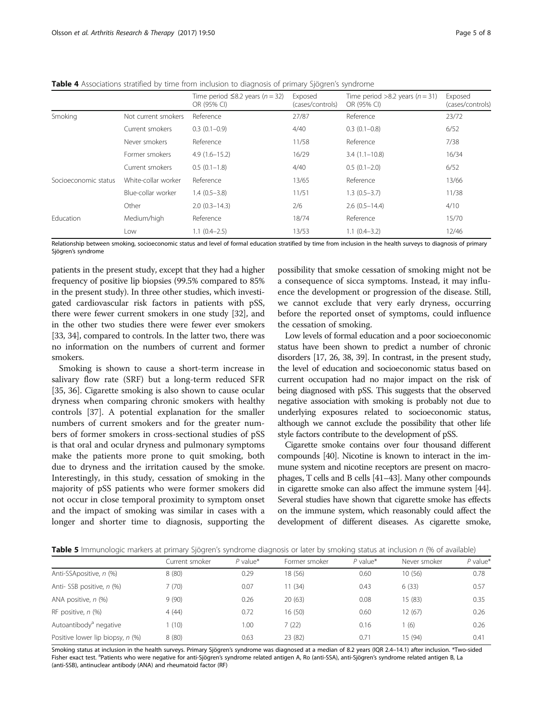<span id="page-4-0"></span>

| Table 4 Associations stratified by time from inclusion to diagnosis of primary Sjögren's syndrome |  |  |
|---------------------------------------------------------------------------------------------------|--|--|
|                                                                                                   |  |  |

|                      |                     | Time period $\leq$ 8.2 years (n = 32)<br>OR (95% CI) | Exposed<br>(cases/controls) | Time period >8.2 years ( $n = 31$ )<br>OR (95% CI) | Exposed<br>(cases/controls) |
|----------------------|---------------------|------------------------------------------------------|-----------------------------|----------------------------------------------------|-----------------------------|
| Smoking              | Not current smokers | Reference                                            | 27/87                       | Reference                                          | 23/72                       |
|                      | Current smokers     | $0.3(0.1-0.9)$                                       | 4/40                        | $0.3(0.1-0.8)$                                     | 6/52                        |
|                      | Never smokers       | Reference                                            | 11/58                       | Reference                                          | 7/38                        |
|                      | Former smokers      | $4.9(1.6 - 15.2)$                                    | 16/29                       | $3.4(1.1-10.8)$                                    | 16/34                       |
|                      | Current smokers     | $0.5(0.1-1.8)$                                       | 4/40                        | $0.5(0.1-2.0)$                                     | 6/52                        |
| Socioeconomic status | White-collar worker | Reference                                            | 13/65                       | Reference                                          | 13/66                       |
|                      | Blue-collar worker  | $1.4(0.5-3.8)$                                       | 11/51                       | $1.3(0.5-3.7)$                                     | 11/38                       |
|                      | Other               | $2.0(0.3 - 14.3)$                                    | 2/6                         | $2.6(0.5 - 14.4)$                                  | 4/10                        |
| Education            | Medium/high         | Reference                                            | 18/74                       | Reference                                          | 15/70                       |
|                      | Low                 | $1.1(0.4-2.5)$                                       | 13/53                       | $1.1(0.4-3.2)$                                     | 12/46                       |

Relationship between smoking, socioeconomic status and level of formal education stratified by time from inclusion in the health surveys to diagnosis of primary Sjögren's syndrome

patients in the present study, except that they had a higher frequency of positive lip biopsies (99.5% compared to 85% in the present study). In three other studies, which investigated cardiovascular risk factors in patients with pSS, there were fewer current smokers in one study [\[32\]](#page-6-0), and in the other two studies there were fewer ever smokers [[33](#page-6-0), [34\]](#page-7-0), compared to controls. In the latter two, there was no information on the numbers of current and former smokers.

Smoking is shown to cause a short-term increase in salivary flow rate (SRF) but a long-term reduced SFR [[35, 36\]](#page-7-0). Cigarette smoking is also shown to cause ocular dryness when comparing chronic smokers with healthy controls [\[37](#page-7-0)]. A potential explanation for the smaller numbers of current smokers and for the greater numbers of former smokers in cross-sectional studies of pSS is that oral and ocular dryness and pulmonary symptoms make the patients more prone to quit smoking, both due to dryness and the irritation caused by the smoke. Interestingly, in this study, cessation of smoking in the majority of pSS patients who were former smokers did not occur in close temporal proximity to symptom onset and the impact of smoking was similar in cases with a longer and shorter time to diagnosis, supporting the possibility that smoke cessation of smoking might not be a consequence of sicca symptoms. Instead, it may influence the development or progression of the disease. Still, we cannot exclude that very early dryness, occurring before the reported onset of symptoms, could influence the cessation of smoking.

Low levels of formal education and a poor socioeconomic status have been shown to predict a number of chronic disorders [[17](#page-6-0), [26,](#page-6-0) [38](#page-7-0), [39](#page-7-0)]. In contrast, in the present study, the level of education and socioeconomic status based on current occupation had no major impact on the risk of being diagnosed with pSS. This suggests that the observed negative association with smoking is probably not due to underlying exposures related to socioeconomic status, although we cannot exclude the possibility that other life style factors contribute to the development of pSS.

Cigarette smoke contains over four thousand different compounds [\[40\]](#page-7-0). Nicotine is known to interact in the immune system and nicotine receptors are present on macrophages, T cells and B cells [\[41](#page-7-0)–[43](#page-7-0)]. Many other compounds in cigarette smoke can also affect the immune system [\[44](#page-7-0)]. Several studies have shown that cigarette smoke has effects on the immune system, which reasonably could affect the development of different diseases. As cigarette smoke,

| Table 5 Immunologic markers at primary Sjögren's syndrome diagnosis or later by smoking status at inclusion n (% of available) |  |  |
|--------------------------------------------------------------------------------------------------------------------------------|--|--|
|                                                                                                                                |  |  |

|                                    | Current smoker | $P$ value* | Former smoker | $P$ value* | Never smoker | $P$ value* |
|------------------------------------|----------------|------------|---------------|------------|--------------|------------|
| Anti-SSApositive, n (%)            | 8(80)          | 0.29       | 18 (56)       | 0.60       | 10(56)       | 0.78       |
| Anti-SSB positive, n (%)           | 7(70)          | 0.07       | 11(34)        | 0.43       | 6(33)        | 0.57       |
| ANA positive, n (%)                | 9(90)          | 0.26       | 20(63)        | 0.08       | 15 (83)      | 0.35       |
| RF positive, $n$ (%)               | 4(44)          | 0.72       | 16(50)        | 0.60       | 12(67)       | 0.26       |
| Autoantibody <sup>a</sup> negative | (10)           | 1.00       | 7(22)         | 0.16       | (6)          | 0.26       |
| Positive lower lip biopsy, n (%)   | 8(80)          | 0.63       | 23(82)        | 0.71       | 15 (94)      | 0.41       |

Smoking status at inclusion in the health surveys. Primary Sjögren's syndrome was diagnosed at a median of 8.2 years (IQR 2.4–14.1) after inclusion. \*Two-sided Fisher exact test. <sup>a</sup>Patients who were negative for anti-Sjögren's syndrome related antigen A, Ro (anti-SSA), anti-Sjögren's syndrome related antigen B, La (anti-SSB), antinuclear antibody (ANA) and rheumatoid factor (RF)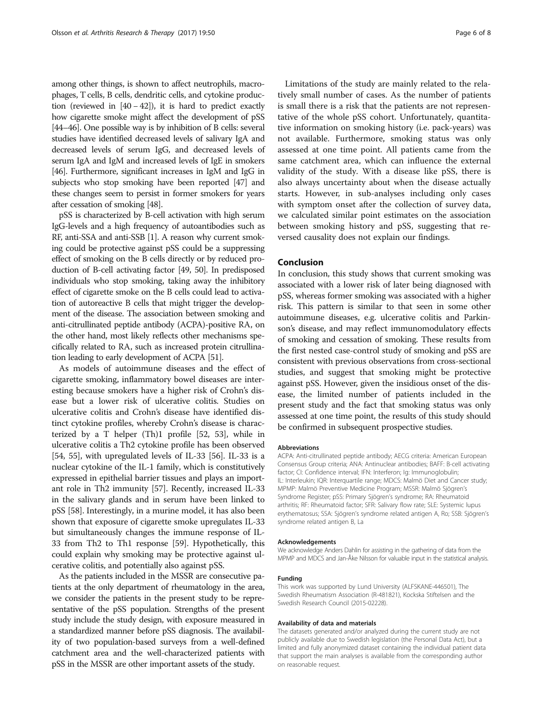among other things, is shown to affect neutrophils, macrophages, T cells, B cells, dendritic cells, and cytokine production (reviewed in  $[40 - 42]$ ), it is hard to predict exactly how cigarette smoke might affect the development of pSS [[44](#page-7-0)–[46](#page-7-0)]. One possible way is by inhibition of B cells: several studies have identified decreased levels of salivary IgA and decreased levels of serum IgG, and decreased levels of serum IgA and IgM and increased levels of IgE in smokers [[46](#page-7-0)]. Furthermore, significant increases in IgM and IgG in subjects who stop smoking have been reported [\[47](#page-7-0)] and these changes seem to persist in former smokers for years after cessation of smoking [\[48](#page-7-0)].

pSS is characterized by B-cell activation with high serum IgG-levels and a high frequency of autoantibodies such as RF, anti-SSA and anti-SSB [[1](#page-6-0)]. A reason why current smoking could be protective against pSS could be a suppressing effect of smoking on the B cells directly or by reduced production of B-cell activating factor [\[49, 50](#page-7-0)]. In predisposed individuals who stop smoking, taking away the inhibitory effect of cigarette smoke on the B cells could lead to activation of autoreactive B cells that might trigger the development of the disease. The association between smoking and anti-citrullinated peptide antibody (ACPA)-positive RA, on the other hand, most likely reflects other mechanisms specifically related to RA, such as increased protein citrullination leading to early development of ACPA [\[51](#page-7-0)].

As models of autoimmune diseases and the effect of cigarette smoking, inflammatory bowel diseases are interesting because smokers have a higher risk of Crohn's disease but a lower risk of ulcerative colitis. Studies on ulcerative colitis and Crohn's disease have identified distinct cytokine profiles, whereby Crohn's disease is characterized by a T helper (Th)1 profile [\[52](#page-7-0), [53](#page-7-0)], while in ulcerative colitis a Th2 cytokine profile has been observed [[54](#page-7-0), [55\]](#page-7-0), with upregulated levels of IL-33 [\[56\]](#page-7-0). IL-33 is a nuclear cytokine of the IL-1 family, which is constitutively expressed in epithelial barrier tissues and plays an important role in Th2 immunity [\[57\]](#page-7-0). Recently, increased IL-33 in the salivary glands and in serum have been linked to pSS [\[58](#page-7-0)]. Interestingly, in a murine model, it has also been shown that exposure of cigarette smoke upregulates IL-33 but simultaneously changes the immune response of IL-33 from Th2 to Th1 response [\[59\]](#page-7-0). Hypothetically, this could explain why smoking may be protective against ulcerative colitis, and potentially also against pSS.

As the patients included in the MSSR are consecutive patients at the only department of rheumatology in the area, we consider the patients in the present study to be representative of the pSS population. Strengths of the present study include the study design, with exposure measured in a standardized manner before pSS diagnosis. The availability of two population-based surveys from a well-defined catchment area and the well-characterized patients with pSS in the MSSR are other important assets of the study.

Limitations of the study are mainly related to the relatively small number of cases. As the number of patients is small there is a risk that the patients are not representative of the whole pSS cohort. Unfortunately, quantitative information on smoking history (i.e. pack-years) was not available. Furthermore, smoking status was only assessed at one time point. All patients came from the same catchment area, which can influence the external validity of the study. With a disease like pSS, there is also always uncertainty about when the disease actually starts. However, in sub-analyses including only cases with symptom onset after the collection of survey data, we calculated similar point estimates on the association between smoking history and pSS, suggesting that reversed causality does not explain our findings.

# Conclusion

In conclusion, this study shows that current smoking was associated with a lower risk of later being diagnosed with pSS, whereas former smoking was associated with a higher risk. This pattern is similar to that seen in some other autoimmune diseases, e.g. ulcerative colitis and Parkinson's disease, and may reflect immunomodulatory effects of smoking and cessation of smoking. These results from the first nested case-control study of smoking and pSS are consistent with previous observations from cross-sectional studies, and suggest that smoking might be protective against pSS. However, given the insidious onset of the disease, the limited number of patients included in the present study and the fact that smoking status was only assessed at one time point, the results of this study should be confirmed in subsequent prospective studies.

#### Abbreviations

ACPA: Anti-citrullinated peptide antibody; AECG criteria: American European Consensus Group criteria; ANA: Antinuclear antibodies; BAFF: B-cell activating factor; CI: Confidence interval; IFN: Interferon; Ig: Immunoglobulin; IL: Interleukin; IQR: Interquartile range; MDCS: Malmö Diet and Cancer study; MPMP: Malmö Preventive Medicine Program; MSSR: Malmö Sjögren's Syndrome Register; pSS: Primary Sjögren's syndrome; RA: Rheumatoid arthritis; RF: Rheumatoid factor; SFR: Salivary flow rate; SLE: Systemic lupus erythematosus; SSA: Sjögren's syndrome related antigen A, Ro; SSB: Sjögren's syndrome related antigen B, La

#### Acknowledgements

We acknowledge Anders Dahlin for assisting in the gathering of data from the MPMP and MDCS and Jan-Åke Nilsson for valuable input in the statistical analysis.

#### Funding

This work was supported by Lund University (ALFSKANE-446501), The Swedish Rheumatism Association (R-481821), Kockska Stiftelsen and the Swedish Research Council (2015-02228).

#### Availability of data and materials

The datasets generated and/or analyzed during the current study are not publicly available due to Swedish legislation (the Personal Data Act), but a limited and fully anonymized dataset containing the individual patient data that support the main analyses is available from the corresponding author on reasonable request.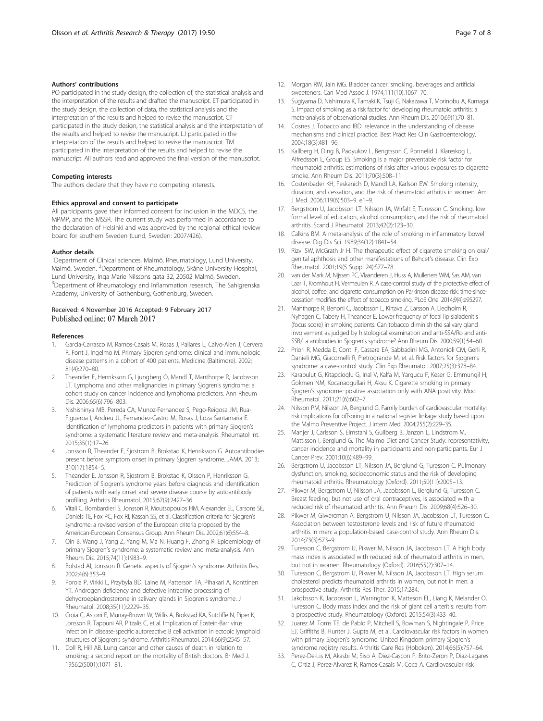# <span id="page-6-0"></span>Authors' contributions

PO participated in the study design, the collection of, the statistical analysis and the interpretation of the results and drafted the manuscript. ET participated in the study design, the collection of data, the statistical analysis and the interpretation of the results and helped to revise the manuscript. CT participated in the study design, the statistical analysis and the interpretation of the results and helped to revise the manuscript. LJ participated in the interpretation of the results and helped to revise the manuscript. TM participated in the interpretation of the results and helped to revise the manuscript. All authors read and approved the final version of the manuscript.

#### Competing interests

The authors declare that they have no competing interests.

#### Ethics approval and consent to participate

All participants gave their informed consent for inclusion in the MDCS, the MPMP, and the MSSR. The current study was performed in accordance to the declaration of Helsinki and was approved by the regional ethical review board for southern Sweden (Lund, Sweden: 2007/426).

# Author details

<sup>1</sup>Department of Clinical sciences, Malmö, Rheumatology, Lund University, Malmö, Sweden. <sup>2</sup>Department of Rheumatology, Skåne University Hospital, Lund University, Inga Marie Nilssons gata 32, 20502 Malmö, Sweden. <sup>3</sup>Department of Rheumatology and Inflammation research, The Sahlgrenska Academy, University of Gothenburg, Gothenburg, Sweden.

# Received: 4 November 2016 Accepted: 9 February 2017

#### References

- 1. Garcia-Carrasco M, Ramos-Casals M, Rosas J, Pallares L, Calvo-Alen J, Cervera R, Font J, Ingelmo M. Primary Sjogren syndrome: clinical and immunologic disease patterns in a cohort of 400 patients. Medicine (Baltimore). 2002; 81(4):270–80.
- 2. Theander E, Henriksson G, Ljungberg O, Mandl T, Manthorpe R, Jacobsson LT. Lymphoma and other malignancies in primary Sjogren's syndrome: a cohort study on cancer incidence and lymphoma predictors. Ann Rheum Dis. 2006;65(6):796–803.
- 3. Nishishinya MB, Pereda CA, Munoz-Fernandez S, Pego-Reigosa JM, Rua-Figueroa I, Andreu JL, Fernandez-Castro M, Rosas J, Loza Santamaria E. Identification of lymphoma predictors in patients with primary Sjogren's syndrome: a systematic literature review and meta-analysis. Rheumatol Int. 2015;35(1):17–26.
- 4. Jonsson R, Theander E, Sjostrom B, Brokstad K, Henriksson G. Autoantibodies present before symptom onset in primary Sjogren syndrome. JAMA. 2013; 310(17):1854–5.
- 5. Theander E, Jonsson R, Sjostrom B, Brokstad K, Olsson P, Henriksson G. Prediction of Sjogren's syndrome years before diagnosis and identification of patients with early onset and severe disease course by autoantibody profiling. Arthritis Rheumatol. 2015;67(9):2427–36.
- Vitali C, Bombardieri S, Jonsson R, Moutsopoulos HM, Alexander EL, Carsons SE, Daniels TE, Fox PC, Fox RI, Kassan SS, et al. Classification criteria for Sjogren's syndrome: a revised version of the European criteria proposed by the American-European Consensus Group. Ann Rheum Dis. 2002;61(6):554–8.
- 7. Qin B, Wang J, Yang Z, Yang M, Ma N, Huang F, Zhong R. Epidemiology of primary Sjogren's syndrome: a systematic review and meta-analysis. Ann Rheum Dis. 2015;74(11):1983–9.
- 8. Bolstad AI, Jonsson R. Genetic aspects of Sjogren's syndrome. Arthritis Res. 2002;4(6):353–9.
- 9. Porola P, Virkki L, Przybyla BD, Laine M, Patterson TA, Pihakari A, Konttinen YT. Androgen deficiency and defective intracrine processing of dehydroepiandrosterone in salivary glands in Sjogren's syndrome. J Rheumatol. 2008;35(11):2229–35.
- 10. Croia C, Astorri E, Murray-Brown W, Willis A, Brokstad KA, Sutcliffe N, Piper K, Jonsson R, Tappuni AR, Pitzalis C, et al. Implication of Epstein-Barr virus infection in disease-specific autoreactive B cell activation in ectopic lymphoid structures of Sjogren's syndrome. Arthritis Rheumatol. 2014;66(9):2545–57.
- 11. Doll R, Hill AB. Lung cancer and other causes of death in relation to smoking; a second report on the mortality of British doctors. Br Med J. 1956;2(5001):1071–81.
- 12. Morgan RW, Jain MG. Bladder cancer: smoking, beverages and artificial sweeteners. Can Med Assoc J. 1974;111(10):1067–70.
- 13. Sugiyama D, Nishimura K, Tamaki K, Tsuji G, Nakazawa T, Morinobu A, Kumagai S. Impact of smoking as a risk factor for developing rheumatoid arthritis: a meta-analysis of observational studies. Ann Rheum Dis. 2010;69(1):70–81.
- 14. Cosnes J. Tobacco and IBD: relevance in the understanding of disease mechanisms and clinical practice. Best Pract Res Clin Gastroenterology. 2004;18(3):481–96.
- 15. Kallberg H, Ding B, Padyukov L, Bengtsson C, Ronnelid J, Klareskog L, Alfredsson L, Group ES. Smoking is a major preventable risk factor for rheumatoid arthritis: estimations of risks after various exposures to cigarette smoke. Ann Rheum Dis. 2011;70(3):508–11.
- 16. Costenbader KH, Feskanich D, Mandl LA, Karlson EW. Smoking intensity, duration, and cessation, and the risk of rheumatoid arthritis in women. Am J Med. 2006;119(6):503–9. e1–9.
- 17. Bergstrom U, Jacobsson LT, Nilsson JA, Wirfalt E, Turesson C. Smoking, low formal level of education, alcohol consumption, and the risk of rheumatoid arthritis. Scand J Rheumatol. 2013;42(2):123–30.
- 18. Calkins BM. A meta-analysis of the role of smoking in inflammatory bowel disease. Dig Dis Sci. 1989;34(12):1841–54.
- 19. Rizvi SW, McGrath Jr H. The therapeutic effect of cigarette smoking on oral/ genital aphthosis and other manifestations of Behcet's disease. Clin Exp Rheumatol. 2001;19(5 Suppl 24):S77–78.
- 20. van der Mark M, Nijssen PC, Vlaanderen J, Huss A, Mulleners WM, Sas AM, van Laar T, Kromhout H, Vermeulen R. A case-control study of the protective effect of alcohol, coffee, and cigarette consumption on Parkinson disease risk: time-sincecessation modifies the effect of tobacco smoking. PLoS One. 2014;9(4):e95297.
- 21. Manthorpe R, Benoni C, Jacobsson L, Kirtava Z, Larsson A, Liedholm R, Nyhagen C, Tabery H, Theander E. Lower frequency of focal lip sialadenitis (focus score) in smoking patients. Can tobacco diminish the salivary gland involvement as judged by histological examination and anti-SSA/Ro and anti-SSB/La antibodies in Sjogren's syndrome? Ann Rheum Dis. 2000;59(1):54–60.
- 22. Priori R, Medda E, Conti F, Cassara EA, Sabbadini MG, Antonioli CM, Gerli R, Danieli MG, Giacomelli R, Pietrogrande M, et al. Risk factors for Sjogren's syndrome: a case-control study. Clin Exp Rheumatol. 2007;25(3):378–84.
- 23. Karabulut G, Kitapcioglu G, Inal V, Kalfa M, Yargucu F, Keser G, Emmungil H, Gokmen NM, Kocanaogullari H, Aksu K. Cigarette smoking in primary Sjogren's syndrome: positive association only with ANA positivity. Mod Rheumatol. 2011;21(6):602–7.
- 24. Nilsson PM, Nilsson JA, Berglund G. Family burden of cardiovascular mortality: risk implications for offspring in a national register linkage study based upon the Malmo Preventive Project. J Intern Med. 2004;255(2):229–35.
- 25. Manjer J, Carlsson S, Elmstahl S, Gullberg B, Janzon L, Lindstrom M, Mattisson I, Berglund G. The Malmo Diet and Cancer Study: representativity, cancer incidence and mortality in participants and non-participants. Eur J Cancer Prev. 2001;10(6):489–99.
- 26. Bergstrom U, Jacobsson LT, Nilsson JA, Berglund G, Turesson C. Pulmonary dysfunction, smoking, socioeconomic status and the risk of developing rheumatoid arthritis. Rheumatology (Oxford). 2011;50(11):2005–13.
- 27. Pikwer M, Bergstrom U, Nilsson JA, Jacobsson L, Berglund G, Turesson C. Breast feeding, but not use of oral contraceptives, is associated with a reduced risk of rheumatoid arthritis. Ann Rheum Dis. 2009;68(4):526–30.
- 28. Pikwer M, Giwercman A, Bergstrom U, Nilsson JA, Jacobsson LT, Turesson C. Association between testosterone levels and risk of future rheumatoid arthritis in men: a population-based case-control study. Ann Rheum Dis. 2014;73(3):573–9.
- 29. Turesson C, Bergstrom U, Pikwer M, Nilsson JA, Jacobsson LT. A high body mass index is associated with reduced risk of rheumatoid arthritis in men, but not in women. Rheumatology (Oxford). 2016;55(2):307–14.
- 30. Turesson C, Bergstrom U, Pikwer M, Nilsson JA, Jacobsson LT. High serum cholesterol predicts rheumatoid arthritis in women, but not in men: a prospective study. Arthritis Res Ther. 2015;17:284.
- 31. Jakobsson K, Jacobsson L, Warrington K, Matteson EL, Liang K, Melander O, Turesson C. Body mass index and the risk of giant cell arteritis: results from a prospective study. Rheumatology (Oxford). 2015;54(3):433–40.
- 32. Juarez M, Toms TE, de Pablo P, Mitchell S, Bowman S, Nightingale P, Price EJ, Griffiths B, Hunter J, Gupta M, et al. Cardiovascular risk factors in women with primary Sjogren's syndrome: United Kingdom primary Sjogren's syndrome registry results. Arthritis Care Res (Hoboken). 2014;66(5):757–64.
- 33. Perez-De-Lis M, Akasbi M, Siso A, Diez-Cascon P, Brito-Zeron P, Diaz-Lagares C, Ortiz J, Perez-Alvarez R, Ramos-Casals M, Coca A. Cardiovascular risk